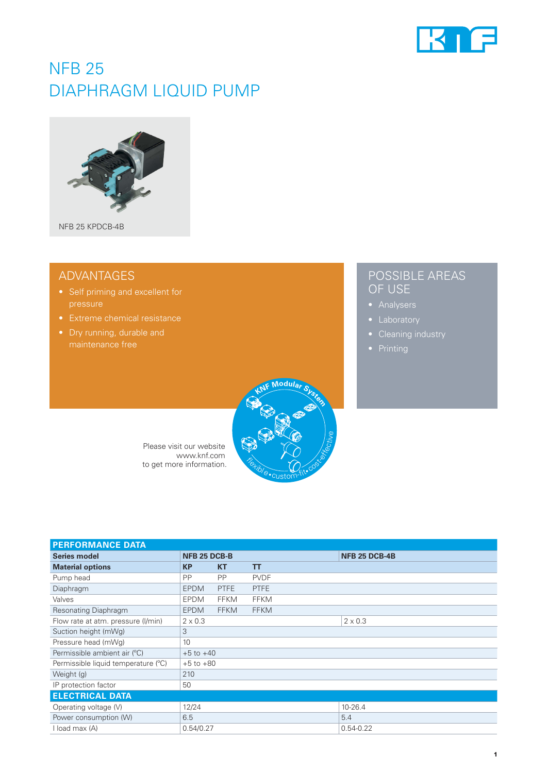

# NFB 25 DIAPHRAGM LIQUID PUMP



## ADVANTAGES

- 
- 
- Dry running, durable and

## POSSIBLE AREAS OF USE

- 
- 
- 
- 



| Please visit our website | $R$ $\alpha$ |
|--------------------------|--------------|
| www.knf.com              |              |
| to get more information. |              |
|                          |              |

| <b>PERFORMANCE DATA</b>             |                |             |             |                      |
|-------------------------------------|----------------|-------------|-------------|----------------------|
| <b>Series model</b>                 | NFB 25 DCB-B   |             |             | <b>NFB 25 DCB-4B</b> |
| <b>Material options</b>             | <b>KP</b>      | <b>KT</b>   | <b>TT</b>   |                      |
| Pump head                           | <b>PP</b>      | <b>PP</b>   | <b>PVDF</b> |                      |
| Diaphragm                           | <b>EPDM</b>    | <b>PTFE</b> | <b>PTFE</b> |                      |
| Valves                              | <b>EPDM</b>    | <b>FFKM</b> | <b>FFKM</b> |                      |
| Resonating Diaphragm                | <b>EPDM</b>    | <b>FFKM</b> | <b>FFKM</b> |                      |
| Flow rate at atm. pressure (I/min)  | $2 \times 0.3$ |             |             | $2 \times 0.3$       |
| Suction height (mWg)                | 3              |             |             |                      |
| Pressure head (mWg)                 | 10             |             |             |                      |
| Permissible ambient air (°C)        | $+5$ to $+40$  |             |             |                      |
| Permissible liquid temperature (°C) | $+5$ to $+80$  |             |             |                      |
| Weight (g)                          | 210            |             |             |                      |
| IP protection factor                | 50             |             |             |                      |
| <b>ELECTRICAL DATA</b>              |                |             |             |                      |
| Operating voltage (V)               | 12/24          |             |             | 10-26.4              |
| Power consumption (W)               | 6.5            |             |             | 5.4                  |
| I load max (A)                      | 0.54/0.27      |             |             | $0.54 - 0.22$        |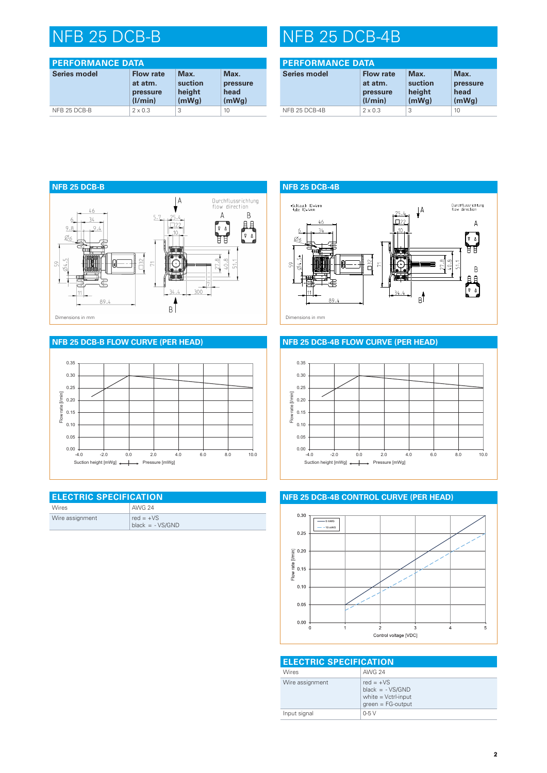| <b>PERFORMANCE DATA</b> |                                                    |                                    |                                   |
|-------------------------|----------------------------------------------------|------------------------------------|-----------------------------------|
| <b>Series model</b>     | <b>Flow rate</b><br>at atm.<br>pressure<br>(1/min) | Max.<br>suction<br>height<br>(mWq) | Max.<br>pressure<br>head<br>(mWq) |
| NFB 25 DCB-B            | $2 \times 0.3$                                     | 3                                  | 10                                |

# NFB 25 DCB-B NFB 25 DCB-4B

| <b>PERFORMANCE DATA</b> |                                                    |                                    |                                   |
|-------------------------|----------------------------------------------------|------------------------------------|-----------------------------------|
| <b>Series model</b>     | <b>Flow rate</b><br>at atm.<br>pressure<br>(1/min) | Max.<br>suction<br>height<br>(mWq) | Max.<br>pressure<br>head<br>(mWq) |
| NFB 25 DCB-4B           | $2 \times 0.3$                                     | 3                                  | 10                                |



### **NFB 25 DCB-B FLOW CURVE (PER HEAD)**



| <b>ELECTRIC SPECIFICATION</b> |                                  |  |
|-------------------------------|----------------------------------|--|
| <b>Wires</b>                  | <b>AWG 24</b>                    |  |
| Wire assignment               | red = $+VS$<br>$black = -VS/GND$ |  |

'LDJU9HUNDXI( (UVWHOOW(UVWHOOGDW(UVWHOOHU



### **NFB 25 DCB-4B FLOW CURVE (PER HEAD)**



### **NFB 25 DCB-4B CONTROL CURVE (PER HEAD)**



| <b>ELECTRIC SPECIFICATION</b> |                                                                                  |  |  |
|-------------------------------|----------------------------------------------------------------------------------|--|--|
| Wires                         | <b>AWG 24</b>                                                                    |  |  |
| Wire assignment               | red = $+VS$<br>$black = -VS/GND$<br>white $=$ Vctrl-input<br>$green = FG-output$ |  |  |
| Input signal                  | $0-5V$                                                                           |  |  |